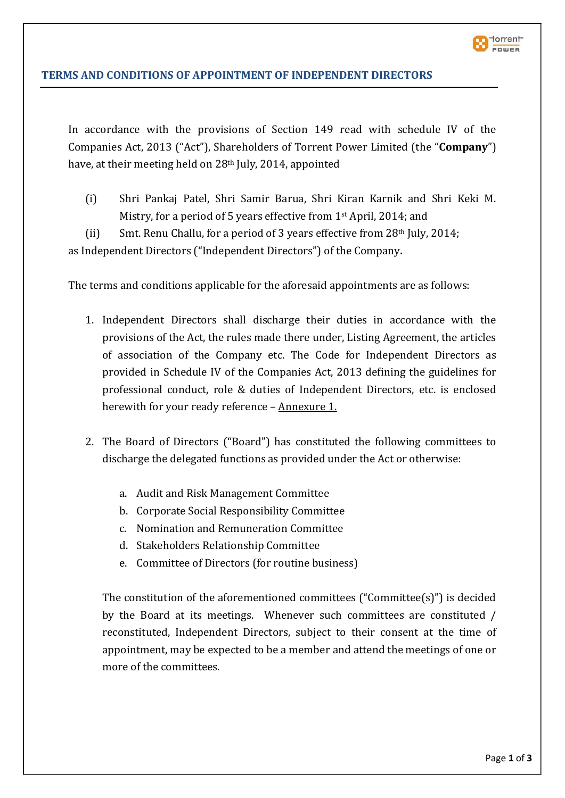

# **TERMS AND CONDITIONS OF APPOINTMENT OF INDEPENDENT DIRECTORS**

In accordance with the provisions of Section 149 read with schedule IV of the Companies Act, 2013 ("Act"), Shareholders of Torrent Power Limited (the "**Company**") have, at their meeting held on 28<sup>th</sup> July, 2014, appointed

(i) Shri Pankaj Patel, Shri Samir Barua, Shri Kiran Karnik and Shri Keki M. Mistry, for a period of 5 years effective from 1st April, 2014; and

(ii) Smt. Renu Challu, for a period of 3 years effective from  $28<sup>th</sup>$  July, 2014; as Independent Directors ("Independent Directors") of the Company**.** 

The terms and conditions applicable for the aforesaid appointments are as follows:

- 1. Independent Directors shall discharge their duties in accordance with the provisions of the Act, the rules made there under, Listing Agreement, the articles of association of the Company etc. The Code for Independent Directors as provided in Schedule IV of the Companies Act, 2013 defining the guidelines for professional conduct, role & duties of Independent Directors, etc. is enclosed herewith for your ready reference - Annexure 1.
- 2. The Board of Directors ("Board") has constituted the following committees to discharge the delegated functions as provided under the Act or otherwise:
	- a. Audit and Risk Management Committee
	- b. Corporate Social Responsibility Committee
	- c. Nomination and Remuneration Committee
	- d. Stakeholders Relationship Committee
	- e. Committee of Directors (for routine business)

The constitution of the aforementioned committees ("Committee(s)") is decided by the Board at its meetings. Whenever such committees are constituted / reconstituted, Independent Directors, subject to their consent at the time of appointment, may be expected to be a member and attend the meetings of one or more of the committees.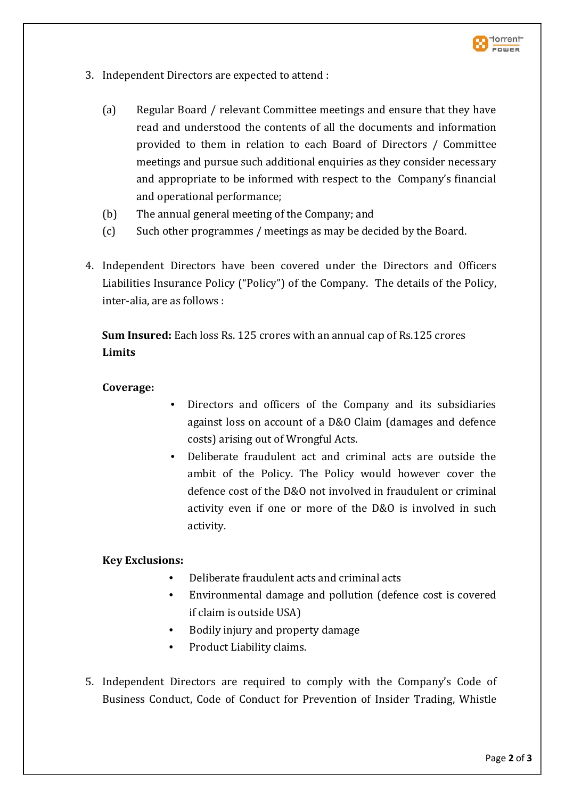

- 3. Independent Directors are expected to attend :
	- (a) Regular Board / relevant Committee meetings and ensure that they have read and understood the contents of all the documents and information provided to them in relation to each Board of Directors / Committee meetings and pursue such additional enquiries as they consider necessary and appropriate to be informed with respect to the Company's financial and operational performance;
	- (b) The annual general meeting of the Company; and
	- (c) Such other programmes / meetings as may be decided by the Board.
- 4. Independent Directors have been covered under the Directors and Officers Liabilities Insurance Policy ("Policy") of the Company. The details of the Policy, inter-alia, are as follows :

**Sum Insured:** Each loss Rs. 125 crores with an annual cap of Rs.125 crores **Limits**

### **Coverage:**

- Directors and officers of the Company and its subsidiaries against loss on account of a D&O Claim (damages and defence costs) arising out of Wrongful Acts.
- Deliberate fraudulent act and criminal acts are outside the ambit of the Policy. The Policy would however cover the defence cost of the D&O not involved in fraudulent or criminal activity even if one or more of the D&O is involved in such activity.

### **Key Exclusions:**

- Deliberate fraudulent acts and criminal acts
- Environmental damage and pollution (defence cost is covered if claim is outside USA)
- Bodily injury and property damage
- Product Liability claims.
- 5. Independent Directors are required to comply with the Company's Code of Business Conduct, Code of Conduct for Prevention of Insider Trading, Whistle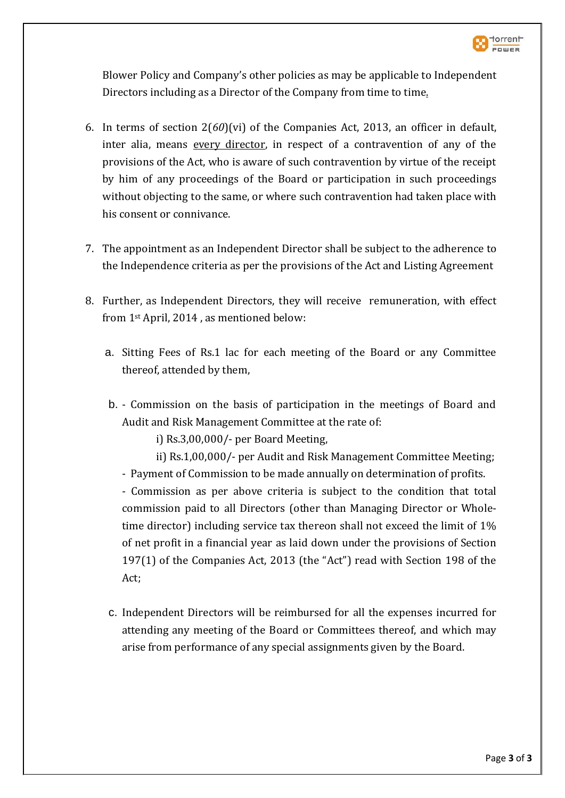

Blower Policy and Company's other policies as may be applicable to Independent Directors including as a Director of the Company from time to time.

- 6. In terms of section 2(*60*)(vi) of the Companies Act, 2013, an officer in default, inter alia, means every director, in respect of a contravention of any of the provisions of the Act, who is aware of such contravention by virtue of the receipt by him of any proceedings of the Board or participation in such proceedings without objecting to the same, or where such contravention had taken place with his consent or connivance.
- 7. The appointment as an Independent Director shall be subject to the adherence to the Independence criteria as per the provisions of the Act and Listing Agreement
- 8. Further, as Independent Directors, they will receive remuneration, with effect from 1st April, 2014 , as mentioned below:
	- a. Sitting Fees of Rs.1 lac for each meeting of the Board or any Committee thereof, attended by them,
	- b. Commission on the basis of participation in the meetings of Board and Audit and Risk Management Committee at the rate of:

i) Rs.3,00,000/- per Board Meeting,

- ii) Rs.1,00,000/- per Audit and Risk Management Committee Meeting;
- Payment of Commission to be made annually on determination of profits.

- Commission as per above criteria is subject to the condition that total commission paid to all Directors (other than Managing Director or Wholetime director) including service tax thereon shall not exceed the limit of 1% of net profit in a financial year as laid down under the provisions of Section 197(1) of the Companies Act, 2013 (the "Act") read with Section 198 of the Act;

c. Independent Directors will be reimbursed for all the expenses incurred for attending any meeting of the Board or Committees thereof, and which may arise from performance of any special assignments given by the Board.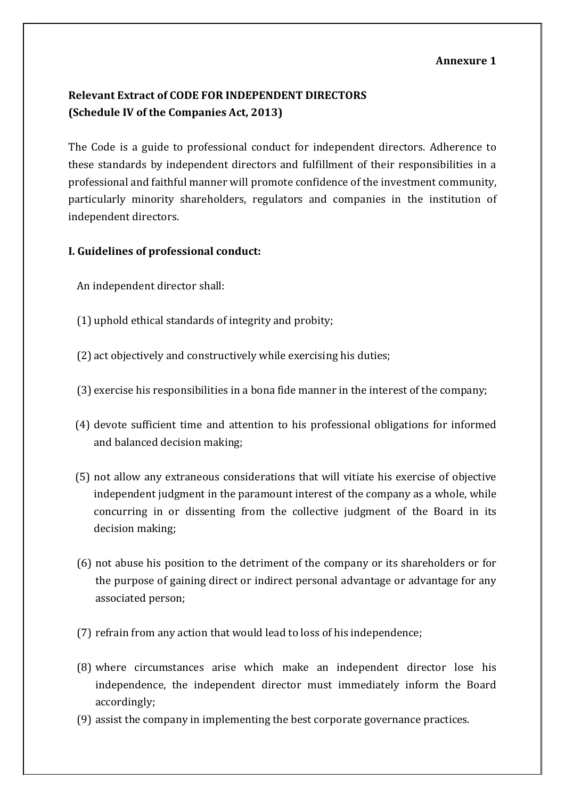#### **Annexure 1**

# **Relevant Extract of CODE FOR INDEPENDENT DIRECTORS (Schedule IV of the Companies Act, 2013)**

The Code is a guide to professional conduct for independent directors. Adherence to these standards by independent directors and fulfillment of their responsibilities in a professional and faithful manner will promote confidence of the investment community, particularly minority shareholders, regulators and companies in the institution of independent directors.

### **I. Guidelines of professional conduct:**

- An independent director shall:
- (1) uphold ethical standards of integrity and probity;
- (2) act objectively and constructively while exercising his duties;
- (3) exercise his responsibilities in a bona fide manner in the interest of the company;
- (4) devote sufficient time and attention to his professional obligations for informed and balanced decision making;
- (5) not allow any extraneous considerations that will vitiate his exercise of objective independent judgment in the paramount interest of the company as a whole, while concurring in or dissenting from the collective judgment of the Board in its decision making;
- (6) not abuse his position to the detriment of the company or its shareholders or for the purpose of gaining direct or indirect personal advantage or advantage for any associated person;
- (7) refrain from any action that would lead to loss of his independence;
- (8) where circumstances arise which make an independent director lose his independence, the independent director must immediately inform the Board accordingly;
- (9) assist the company in implementing the best corporate governance practices.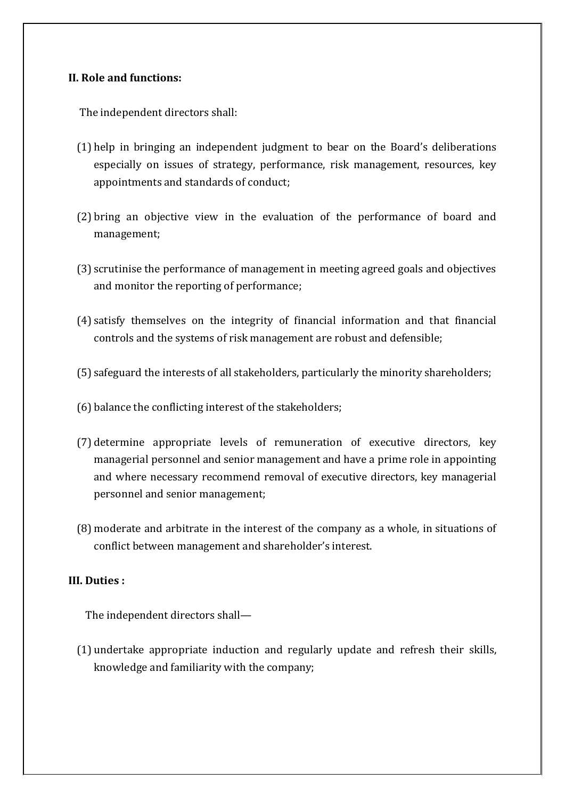### **II. Role and functions:**

The independent directors shall:

- (1) help in bringing an independent judgment to bear on the Board's deliberations especially on issues of strategy, performance, risk management, resources, key appointments and standards of conduct;
- (2) bring an objective view in the evaluation of the performance of board and management;
- (3) scrutinise the performance of management in meeting agreed goals and objectives and monitor the reporting of performance;
- (4) satisfy themselves on the integrity of financial information and that financial controls and the systems of risk management are robust and defensible;
- (5) safeguard the interests of all stakeholders, particularly the minority shareholders;
- (6) balance the conflicting interest of the stakeholders;
- (7) determine appropriate levels of remuneration of executive directors, key managerial personnel and senior management and have a prime role in appointing and where necessary recommend removal of executive directors, key managerial personnel and senior management;
- (8) moderate and arbitrate in the interest of the company as a whole, in situations of conflict between management and shareholder's interest.

### **III. Duties :**

The independent directors shall—

(1) undertake appropriate induction and regularly update and refresh their skills, knowledge and familiarity with the company;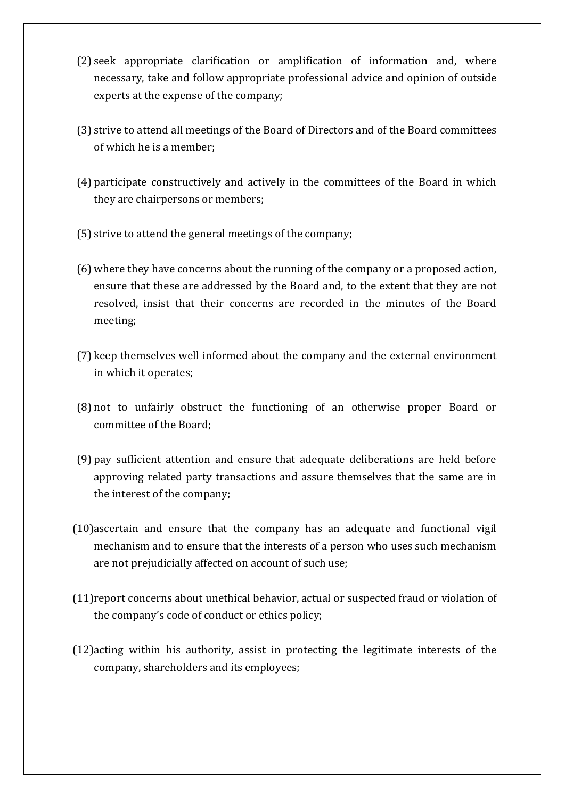- (2) seek appropriate clarification or amplification of information and, where necessary, take and follow appropriate professional advice and opinion of outside experts at the expense of the company;
- (3) strive to attend all meetings of the Board of Directors and of the Board committees of which he is a member;
- (4) participate constructively and actively in the committees of the Board in which they are chairpersons or members;
- (5) strive to attend the general meetings of the company;
- (6) where they have concerns about the running of the company or a proposed action, ensure that these are addressed by the Board and, to the extent that they are not resolved, insist that their concerns are recorded in the minutes of the Board meeting;
- (7) keep themselves well informed about the company and the external environment in which it operates;
- (8) not to unfairly obstruct the functioning of an otherwise proper Board or committee of the Board;
- (9) pay sufficient attention and ensure that adequate deliberations are held before approving related party transactions and assure themselves that the same are in the interest of the company;
- (10)ascertain and ensure that the company has an adequate and functional vigil mechanism and to ensure that the interests of a person who uses such mechanism are not prejudicially affected on account of such use;
- (11)report concerns about unethical behavior, actual or suspected fraud or violation of the company's code of conduct or ethics policy;
- (12)acting within his authority, assist in protecting the legitimate interests of the company, shareholders and its employees;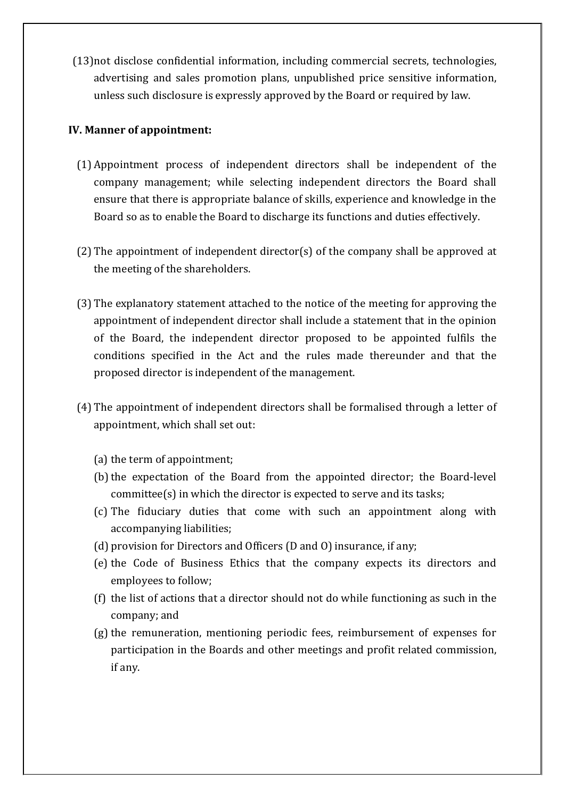(13)not disclose confidential information, including commercial secrets, technologies, advertising and sales promotion plans, unpublished price sensitive information, unless such disclosure is expressly approved by the Board or required by law.

### **IV. Manner of appointment:**

- (1) Appointment process of independent directors shall be independent of the company management; while selecting independent directors the Board shall ensure that there is appropriate balance of skills, experience and knowledge in the Board so as to enable the Board to discharge its functions and duties effectively.
- (2) The appointment of independent director(s) of the company shall be approved at the meeting of the shareholders.
- (3) The explanatory statement attached to the notice of the meeting for approving the appointment of independent director shall include a statement that in the opinion of the Board, the independent director proposed to be appointed fulfils the conditions specified in the Act and the rules made thereunder and that the proposed director is independent of the management.
- (4) The appointment of independent directors shall be formalised through a letter of appointment, which shall set out:
	- (a) the term of appointment;
	- (b) the expectation of the Board from the appointed director; the Board-level committee(s) in which the director is expected to serve and its tasks;
	- (c) The fiduciary duties that come with such an appointment along with accompanying liabilities;
	- (d) provision for Directors and Officers (D and O) insurance, if any;
	- (e) the Code of Business Ethics that the company expects its directors and employees to follow;
	- (f) the list of actions that a director should not do while functioning as such in the company; and
	- (g) the remuneration, mentioning periodic fees, reimbursement of expenses for participation in the Boards and other meetings and profit related commission, if any.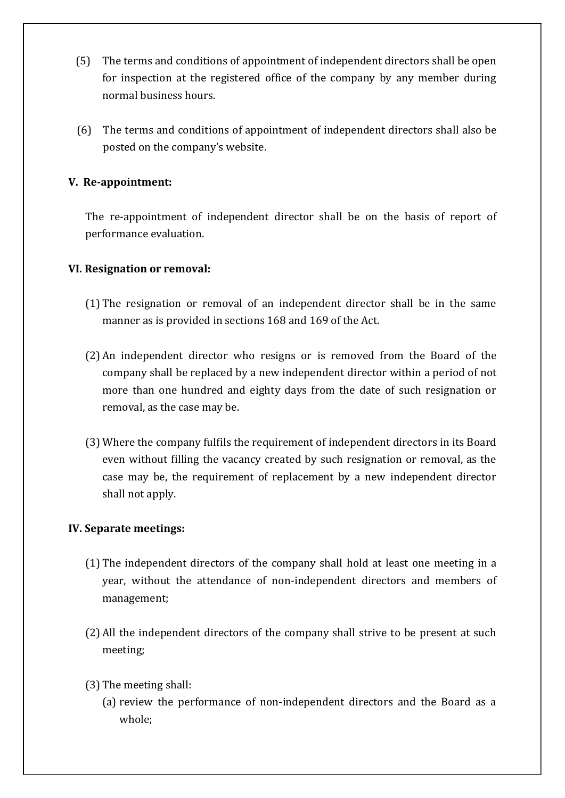- (5) The terms and conditions of appointment of independent directors shall be open for inspection at the registered office of the company by any member during normal business hours.
- (6) The terms and conditions of appointment of independent directors shall also be posted on the company's website.

# **V. Re-appointment:**

The re-appointment of independent director shall be on the basis of report of performance evaluation.

### **VI. Resignation or removal:**

- (1) The resignation or removal of an independent director shall be in the same manner as is provided in sections 168 and 169 of the Act.
- (2) An independent director who resigns or is removed from the Board of the company shall be replaced by a new independent director within a period of not more than one hundred and eighty days from the date of such resignation or removal, as the case may be.
- (3) Where the company fulfils the requirement of independent directors in its Board even without filling the vacancy created by such resignation or removal, as the case may be, the requirement of replacement by a new independent director shall not apply.

### **IV. Separate meetings:**

- (1) The independent directors of the company shall hold at least one meeting in a year, without the attendance of non-independent directors and members of management;
- (2) All the independent directors of the company shall strive to be present at such meeting;
- (3) The meeting shall:
	- (a) review the performance of non-independent directors and the Board as a whole;